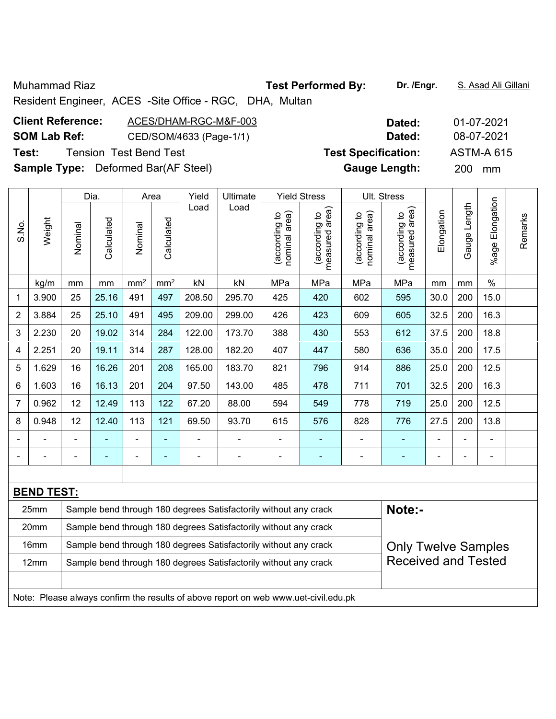Muhammad Riaz **Test Performed By: Dr. /Engr.** S. Asad Ali Gillani

Resident Engineer, ACES -Site Office - RGC, DHA, Multan

| <b>Client Reference:</b> | ACES/DHAM-RGC-M&F-003                      | Dated:                     | 01-07-2021        |
|--------------------------|--------------------------------------------|----------------------------|-------------------|
| <b>SOM Lab Ref:</b>      | CED/SOM/4633 (Page-1/1)                    | Dated:                     | 08-07-2021        |
| Test:                    | <b>Tension Test Bend Test</b>              | <b>Test Specification:</b> | <b>ASTM-A 615</b> |
|                          | <b>Sample Type:</b> Deformed Bar(AF Steel) | <b>Gauge Length:</b>       | <b>200</b><br>mm  |

|                |                   |         | Dia.                                                                                           |                 | Area                     | Yield                                                               | Ultimate                                                         |                                | <b>Yield Stress</b>             |                                | Ult. Stress                                 |                |                |                       |         |
|----------------|-------------------|---------|------------------------------------------------------------------------------------------------|-----------------|--------------------------|---------------------------------------------------------------------|------------------------------------------------------------------|--------------------------------|---------------------------------|--------------------------------|---------------------------------------------|----------------|----------------|-----------------------|---------|
| S.No.          | Weight            | Nominal | Calculated                                                                                     | Nominal         | Calculated               | Load                                                                | Load                                                             | nominal area)<br>(according to | measured area)<br>(according to | nominal area)<br>(according to | (according to<br>measured area)<br>measured | Elongation     | Gauge Length   | Elongation<br>$%$ age | Remarks |
|                | kg/m              | mm      | mm                                                                                             | mm <sup>2</sup> | mm <sup>2</sup>          | kN                                                                  | kN                                                               | MPa                            | MPa                             | MPa                            | MPa                                         | mm             | mm             | $\%$                  |         |
| 1              | 3.900             | 25      | 25.16                                                                                          | 491             | 497                      | 208.50                                                              | 295.70                                                           | 425                            | 420                             | 602                            | 595                                         | 30.0           | 200            | 15.0                  |         |
| $\overline{2}$ | 3.884             | 25      | 25.10                                                                                          | 491             | 495                      | 16.3<br>209.00<br>299.00<br>426<br>423<br>609<br>32.5<br>200<br>605 |                                                                  |                                |                                 |                                |                                             |                |                |                       |         |
| 3              | 2.230             | 20      | 19.02                                                                                          | 314             | 284                      | 122.00                                                              | 173.70                                                           | 388                            | 430                             | 553                            | 612                                         | 37.5           | 200            | 18.8                  |         |
| 4              | 2.251             | 20      | 19.11                                                                                          | 314             | 287                      | 128.00                                                              | 182.20                                                           | 407                            | 447                             | 580                            | 636                                         | 35.0           | 200            | 17.5                  |         |
| 5              | 1.629             | 16      | 16.26                                                                                          | 201             | 208                      | 165.00                                                              | 183.70                                                           | 821                            | 796                             | 914                            | 886                                         | 25.0           | 200            | 12.5                  |         |
| 6              | 1.603             | 16      | 16.13                                                                                          | 201             | 204                      | 16.3<br>97.50<br>143.00<br>485<br>711<br>32.5<br>200<br>478<br>701  |                                                                  |                                |                                 |                                |                                             |                |                |                       |         |
| 7              | 0.962             | 12      | 12.49                                                                                          | 113             | 122                      | 67.20                                                               | 88.00                                                            | 594                            | 549                             | 778                            | 719                                         | 25.0           | 200            | 12.5                  |         |
| 8              | 0.948             | 12      | 12.40                                                                                          | 113             | 121                      | 69.50                                                               | 93.70                                                            | 615                            | 576                             | 828                            | 776                                         | 27.5           | 200            | 13.8                  |         |
|                |                   |         |                                                                                                |                 |                          |                                                                     |                                                                  | $\blacksquare$                 |                                 |                                |                                             |                |                |                       |         |
|                | -                 |         | $\blacksquare$                                                                                 | $\blacksquare$  | $\overline{\phantom{0}}$ | $\blacksquare$                                                      | $\blacksquare$                                                   | $\overline{a}$                 | ٠                               |                                | ٠                                           | $\blacksquare$ | $\overline{a}$ | $\blacksquare$        |         |
|                |                   |         |                                                                                                |                 |                          |                                                                     |                                                                  |                                |                                 |                                |                                             |                |                |                       |         |
|                | <b>BEND TEST:</b> |         |                                                                                                |                 |                          |                                                                     |                                                                  |                                |                                 |                                |                                             |                |                |                       |         |
|                | 25mm              |         | Note:-<br>Sample bend through 180 degrees Satisfactorily without any crack                     |                 |                          |                                                                     |                                                                  |                                |                                 |                                |                                             |                |                |                       |         |
|                | 20mm              |         |                                                                                                |                 |                          |                                                                     | Sample bend through 180 degrees Satisfactorily without any crack |                                |                                 |                                |                                             |                |                |                       |         |
|                | 16mm              |         |                                                                                                |                 |                          |                                                                     | Sample bend through 180 degrees Satisfactorily without any crack |                                |                                 |                                | <b>Only Twelve Samples</b>                  |                |                |                       |         |
|                | 12mm              |         | <b>Received and Tested</b><br>Sample bend through 180 degrees Satisfactorily without any crack |                 |                          |                                                                     |                                                                  |                                |                                 |                                |                                             |                |                |                       |         |

Note: Please always confirm the results of above report on web www.uet-civil.edu.pk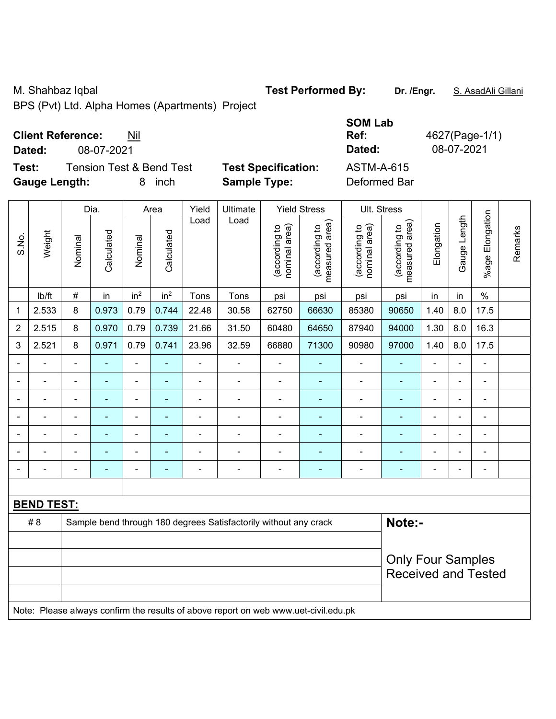M. Shahbaz Iqbal **Test Performed By:** Dr. /Engr. **S. AsadAli Gillani** Allemant Company of Test Performed By:

BPS (Pvt) Ltd. Alpha Homes (Apartments) Project

## **Client Reference:** Nil

**Test:** Tension Test & Bend Test **Test Specification: Gauge Length:** 8 inch **Sample Type:** Deformed Bar

|                                              |                            | <b>SOM Lab</b> |                |
|----------------------------------------------|----------------------------|----------------|----------------|
| <b>Client Reference:</b><br>Nil              |                            | Ref:           | 4627(Page-1/1) |
| Dated:<br>08-07-2021                         |                            | Dated:         | 08-07-2021     |
| Test:<br><b>Tension Test &amp; Bend Test</b> | <b>Test Specification:</b> | ASTM-A-615     |                |
| Council opethi<br>0 inah                     | Comple Tupe:               | Doformod Dor   |                |

|                |                   |                          | Dia.           |                              | Area            | Yield          | Ultimate                                                                            |                                | <b>Yield Stress</b>             |                                | Ult. Stress                     |                          |              |                       |         |
|----------------|-------------------|--------------------------|----------------|------------------------------|-----------------|----------------|-------------------------------------------------------------------------------------|--------------------------------|---------------------------------|--------------------------------|---------------------------------|--------------------------|--------------|-----------------------|---------|
| S.No.          | Weight            | Nominal                  | Calculated     | Nominal                      | Calculated      | Load           | Load                                                                                | nominal area)<br>(according to | (according to<br>measured area) | (according to<br>nominal area) | (according to<br>measured area) | Elongation               | Gauge Length | Elongation<br>$%$ age | Remarks |
|                | lb/ft             | #                        | in             | in <sup>2</sup>              | in <sup>2</sup> | Tons           | Tons                                                                                | psi                            | psi                             | psi                            | psi                             | in                       | in           | $\frac{0}{0}$         |         |
| 1              | 2.533             | 8                        | 0.973          | 0.79                         | 0.744           | 22.48          | 30.58                                                                               | 62750                          | 66630                           | 85380                          | 90650                           | 1.40                     | 8.0          | 17.5                  |         |
| $\overline{2}$ | 2.515             | 8                        | 0.970          | 0.79                         | 0.739           | 21.66          | 31.50                                                                               | 60480                          | 64650                           | 87940                          | 94000                           | 1.30                     | 8.0          | 16.3                  |         |
| 3              | 2.521             | 8                        | 0.971          | 0.79                         | 0.741           | 23.96          | 32.59                                                                               | 66880                          | 71300                           | 90980                          | 97000                           | 1.40                     | 8.0          | 17.5                  |         |
|                |                   | $\blacksquare$           | $\blacksquare$ | $\overline{\phantom{0}}$     | $\blacksquare$  | $\blacksquare$ | $\blacksquare$                                                                      | $\blacksquare$                 | $\blacksquare$                  | $\blacksquare$                 | $\blacksquare$                  | $\blacksquare$           |              | $\blacksquare$        |         |
|                | ÷                 |                          | $\blacksquare$ | $\overline{\phantom{0}}$     | $\blacksquare$  | $\blacksquare$ | $\blacksquare$                                                                      | ÷                              | ÷,                              | $\blacksquare$                 | $\blacksquare$                  | $\blacksquare$           |              | $\blacksquare$        |         |
|                | ÷                 | $\blacksquare$           | $\blacksquare$ | $\qquad \qquad \blacksquare$ | ۰               | $\blacksquare$ | $\blacksquare$                                                                      | $\blacksquare$                 | ٠                               | ä,                             | $\blacksquare$                  | $\blacksquare$           |              | $\blacksquare$        |         |
|                |                   | $\blacksquare$           | ÷              | ÷,                           |                 | $\blacksquare$ | $\blacksquare$                                                                      | $\blacksquare$                 | ٠                               | $\blacksquare$                 | ä,                              | $\blacksquare$           |              | $\blacksquare$        |         |
|                |                   | $\overline{\phantom{0}}$ |                | $\overline{\phantom{0}}$     | ۰               | $\blacksquare$ | $\overline{a}$                                                                      | $\blacksquare$                 |                                 | $\blacksquare$                 | $\blacksquare$                  | $\blacksquare$           |              | ä,                    |         |
|                |                   |                          |                | ÷                            |                 |                | $\blacksquare$                                                                      | $\blacksquare$                 | ٠                               |                                |                                 | $\blacksquare$           |              | $\blacksquare$        |         |
| ۰              |                   | $\blacksquare$           | $\blacksquare$ | ÷,                           | $\blacksquare$  | $\blacksquare$ | $\blacksquare$                                                                      | $\blacksquare$                 | ÷                               | $\overline{\phantom{a}}$       | $\blacksquare$                  | $\overline{\phantom{a}}$ |              | $\blacksquare$        |         |
|                |                   |                          |                |                              |                 |                |                                                                                     |                                |                                 |                                |                                 |                          |              |                       |         |
|                | <b>BEND TEST:</b> |                          |                |                              |                 |                |                                                                                     |                                |                                 |                                |                                 |                          |              |                       |         |
|                | #8                |                          |                |                              |                 |                | Sample bend through 180 degrees Satisfactorily without any crack                    |                                |                                 |                                | Note:-                          |                          |              |                       |         |
|                |                   |                          |                |                              |                 |                |                                                                                     |                                |                                 |                                |                                 |                          |              |                       |         |
|                |                   |                          |                |                              |                 |                |                                                                                     |                                |                                 |                                | <b>Only Four Samples</b>        |                          |              |                       |         |
|                |                   |                          |                |                              |                 |                |                                                                                     |                                |                                 |                                | <b>Received and Tested</b>      |                          |              |                       |         |
|                |                   |                          |                |                              |                 |                |                                                                                     |                                |                                 |                                |                                 |                          |              |                       |         |
|                |                   |                          |                |                              |                 |                | Note: Please always confirm the results of above report on web www.uet-civil.edu.pk |                                |                                 |                                |                                 |                          |              |                       |         |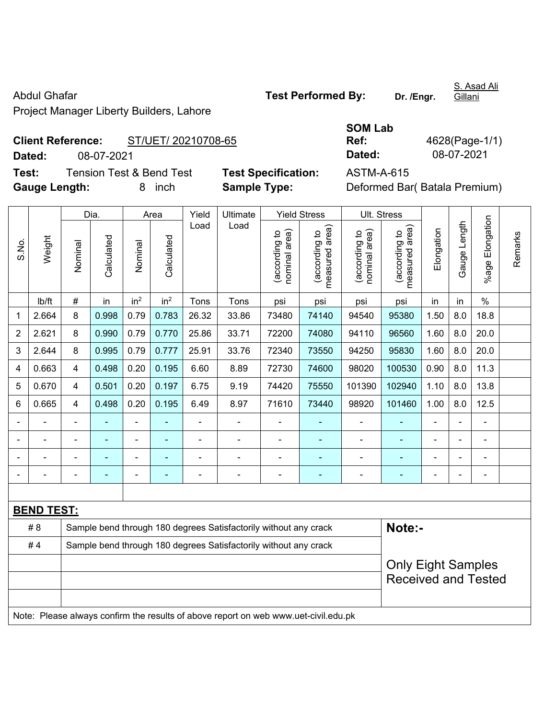Project Manager Liberty Builders, Lahore

**Client Reference:** ST/UET/ 20210708-65 **Dated:** 08-07-2021 **Dated:** 08-07-2021

**Test:** Tension Test & Bend Test **Test Specification:** ASTM-A-615 **Gauge Length:** 8 inch **Sample Type:** Deformed Bar( Batala Premium)

| <b>SOM Lab</b> |        |
|----------------|--------|
| Ref:           | 4628   |
| Dated:         | $08 -$ |

8(Page-1/1)

|       |                   |                | Dia.                                                                       |                 | Area            | Yield          | Ultimate                                                                            |                                | <b>Yield Stress</b>             |                                   | Ult. Stress                     |                |              |                          |         |
|-------|-------------------|----------------|----------------------------------------------------------------------------|-----------------|-----------------|----------------|-------------------------------------------------------------------------------------|--------------------------------|---------------------------------|-----------------------------------|---------------------------------|----------------|--------------|--------------------------|---------|
| S.No. | Weight            | Nominal        | Calculated                                                                 | Nominal         | Calculated      | Load           | Load                                                                                | nominal area)<br>(according to | measured area)<br>(according to | area)<br>(according to<br>nominal | (according to<br>measured area) | Elongation     | Gauge Length | %age Elongation          | Remarks |
|       | lb/ft             | #              | in                                                                         | in <sup>2</sup> | in <sup>2</sup> | Tons           | Tons                                                                                | psi                            | psi                             | psi                               | psi                             | in             | in           | $\frac{0}{0}$            |         |
| 1     | 2.664             | 8              | 0.998                                                                      | 0.79            | 0.783           | 26.32          | 33.86                                                                               | 73480                          | 74140                           | 94540                             | 95380                           | 1.50           | 8.0          | 18.8                     |         |
| 2     | 2.621             | 8              | 0.990                                                                      | 0.79            | 0.770           | 25.86          | 33.71                                                                               | 72200                          | 74080                           | 94110                             | 96560                           | 1.60           | 8.0          | 20.0                     |         |
| 3     | 2.644             | 8              | 0.995                                                                      | 0.79            | 0.777           | 25.91          | 33.76                                                                               | 72340                          | 73550                           | 94250                             | 95830                           | 1.60           | 8.0          | 20.0                     |         |
| 4     | 0.663             | $\overline{4}$ | 0.498                                                                      | 0.20            | 0.195           | 6.60           | 8.89                                                                                | 72730                          | 74600                           | 98020                             | 100530                          | 0.90           | 8.0          | 11.3                     |         |
| 5     | 0.670             | $\overline{4}$ | 0.501                                                                      | 0.20            | 0.197           | 6.75           | 9.19                                                                                | 74420                          | 75550                           | 101390                            | 102940                          | 1.10           | 8.0          | 13.8                     |         |
| 6     | 0.665             | $\overline{4}$ | 0.498                                                                      | 0.20            | 0.195           | 6.49           | 8.97                                                                                | 71610                          | 73440                           | 98920                             | 101460                          | 1.00           | 8.0          | 12.5                     |         |
|       |                   | ä,             | $\blacksquare$                                                             | $\blacksquare$  |                 | $\blacksquare$ | ä,                                                                                  | ä,                             |                                 | ÷,                                | ÷,                              | $\overline{a}$ |              | L.                       |         |
|       |                   |                |                                                                            | ä,              |                 |                | ÷                                                                                   | $\blacksquare$                 |                                 |                                   |                                 |                |              |                          |         |
|       |                   |                |                                                                            |                 |                 |                |                                                                                     |                                |                                 |                                   |                                 |                |              |                          |         |
|       |                   |                |                                                                            | ÷               | $\blacksquare$  | $\blacksquare$ | $\blacksquare$                                                                      | $\blacksquare$                 | $\blacksquare$                  | ÷                                 | $\blacksquare$                  |                |              | $\overline{\phantom{a}}$ |         |
|       |                   |                |                                                                            |                 |                 |                |                                                                                     |                                |                                 |                                   |                                 |                |              |                          |         |
|       | <b>BEND TEST:</b> |                |                                                                            |                 |                 |                |                                                                                     |                                |                                 |                                   |                                 |                |              |                          |         |
|       | #8                |                | Note:-<br>Sample bend through 180 degrees Satisfactorily without any crack |                 |                 |                |                                                                                     |                                |                                 |                                   |                                 |                |              |                          |         |
|       | #4                |                |                                                                            |                 |                 |                | Sample bend through 180 degrees Satisfactorily without any crack                    |                                |                                 |                                   |                                 |                |              |                          |         |
|       |                   |                |                                                                            |                 |                 |                |                                                                                     |                                |                                 |                                   | <b>Only Eight Samples</b>       |                |              |                          |         |
|       |                   |                |                                                                            |                 |                 |                |                                                                                     |                                |                                 |                                   | <b>Received and Tested</b>      |                |              |                          |         |
|       |                   |                |                                                                            |                 |                 |                |                                                                                     |                                |                                 |                                   |                                 |                |              |                          |         |
|       |                   |                |                                                                            |                 |                 |                | Note: Please always confirm the results of above report on web www.uet-civil.edu.pk |                                |                                 |                                   |                                 |                |              |                          |         |

S. Asad Ali Gillani

Abdul Ghafar **Test Performed By:** Dr. /Engr.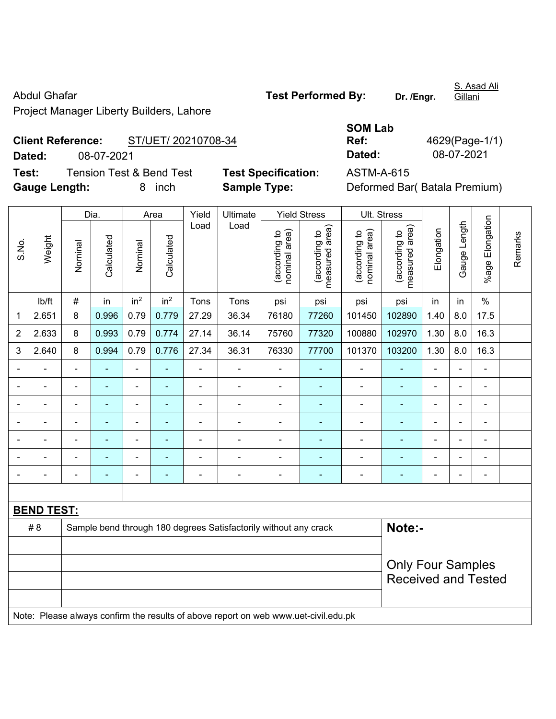Project Manager Liberty Builders, Lahore

**Client Reference:** ST/UET/ 20210708-34 **Dated:** 08-07-2021 **Dated:** 08-07-2021

**Test:** Tension Test & Bend Test **Test Specification:** ASTM-A-615 **Gauge Length:** 8 inch **Sample Type:** Deformed Bar( Batala Premium) Dia. Area Yield Ultimate Yield Stress Ult. Stress Load ding to<br>earea) measured area) ding to<br>area) measured area) gation nominal area) ling to<br>I area) nominal area) ling to<br>I area) (according to (according to (according to (according to Weight lated **Calculated** lated **Calculated** Nominal Nominal  $\overline{B}$  $\overline{\mathbf{g}}$ 

|                |                   | Dia.<br>Area                                                                        |                |                              | Yield           | Ultimate                 |                                                                  | <b>Yield Stress</b>               | Ult. Stress                     |                                |                                 |                |                |                 |         |
|----------------|-------------------|-------------------------------------------------------------------------------------|----------------|------------------------------|-----------------|--------------------------|------------------------------------------------------------------|-----------------------------------|---------------------------------|--------------------------------|---------------------------------|----------------|----------------|-----------------|---------|
| S.No.          | Weight            | Nominal                                                                             | Calculated     | Nominal                      | Calculated      | Load                     | Load                                                             | (according to<br>area)<br>nominal | (according to<br>measured area) | (according to<br>nominal area) | measured area)<br>(according to | Elongation     | Gauge Length   | %age Elongation | Remarks |
|                | lb/ft             | $\#$                                                                                | in             | in <sup>2</sup>              | in <sup>2</sup> | Tons                     | Tons                                                             | psi                               | psi                             | psi                            | psi                             | in             | in             | $\%$            |         |
| $\mathbf{1}$   | 2.651             | 8                                                                                   | 0.996          | 0.79                         | 0.779           | 27.29                    | 36.34                                                            | 76180                             | 77260                           | 101450                         | 102890                          | 1.40           | 8.0            | 17.5            |         |
| $\overline{2}$ | 2.633             | 8                                                                                   | 0.993          | 0.79                         | 0.774           | 27.14                    | 36.14                                                            | 75760                             | 77320                           | 100880                         | 102970                          | 1.30           | 8.0            | 16.3            |         |
| $\mathbf{3}$   | 2.640             | 8                                                                                   | 0.994          | 0.79                         | 0.776           | 27.34                    | 36.31                                                            | 76330                             | 77700                           | 101370                         | 103200                          | 1.30           | 8.0            | 16.3            |         |
| $\blacksquare$ |                   | ä,                                                                                  | $\blacksquare$ | ÷,                           | Ξ               | L,                       | $\blacksquare$                                                   | $\blacksquare$                    | $\blacksquare$                  | $\blacksquare$                 | ÷,                              | $\blacksquare$ | $\blacksquare$ | ÷,              |         |
|                |                   | $\blacksquare$                                                                      | ÷,             | ÷,                           | Ξ               | $\blacksquare$           | ÷                                                                | $\blacksquare$                    | $\blacksquare$                  |                                | ۰                               | $\blacksquare$ | $\blacksquare$ | ÷,              |         |
|                |                   |                                                                                     |                | ۳                            |                 |                          |                                                                  |                                   | $\blacksquare$                  | $\blacksquare$                 | ۰                               |                |                | $\blacksquare$  |         |
|                |                   |                                                                                     |                | ÷,                           |                 | $\blacksquare$           |                                                                  | $\blacksquare$                    | ٠                               | $\blacksquare$                 | ۰                               | $\blacksquare$ | ä,             | $\blacksquare$  |         |
|                |                   | ä,                                                                                  | ٠              | ÷,                           | ۰               | $\blacksquare$           | Ē,                                                               | $\blacksquare$                    | $\blacksquare$                  |                                | ۰                               | Ē,             | ä,             | ÷,              |         |
|                |                   |                                                                                     | ٠              | $\qquad \qquad \blacksquare$ | ۰               | Ē,                       | Ē,                                                               | $\blacksquare$                    | $\blacksquare$                  |                                | ۰                               |                | ä,             | ÷,              |         |
|                |                   | $\blacksquare$                                                                      |                | -                            |                 | $\overline{\phantom{0}}$ | Ē,                                                               | $\blacksquare$                    | $\blacksquare$                  |                                | ۰                               |                | ä,             | ÷               |         |
|                |                   |                                                                                     |                |                              |                 |                          |                                                                  |                                   |                                 |                                |                                 |                |                |                 |         |
|                | <b>BEND TEST:</b> |                                                                                     |                |                              |                 |                          |                                                                  |                                   |                                 |                                |                                 |                |                |                 |         |
|                | # 8               |                                                                                     |                |                              |                 |                          | Sample bend through 180 degrees Satisfactorily without any crack |                                   |                                 |                                | Note:-                          |                |                |                 |         |
|                |                   |                                                                                     |                |                              |                 |                          |                                                                  |                                   |                                 |                                |                                 |                |                |                 |         |
|                |                   | <b>Only Four Samples</b>                                                            |                |                              |                 |                          |                                                                  |                                   |                                 |                                |                                 |                |                |                 |         |
|                |                   |                                                                                     |                |                              |                 |                          |                                                                  |                                   |                                 |                                | <b>Received and Tested</b>      |                |                |                 |         |
|                |                   | Note: Please always confirm the results of above report on web www.uet-civil.edu.pk |                |                              |                 |                          |                                                                  |                                   |                                 |                                |                                 |                |                |                 |         |

**SOM Lab Ref:** 4629(Page-1/1)

Abdul Ghafar **Test Performed By:** Dr. /Engr.

S. Asad Ali **Gillani**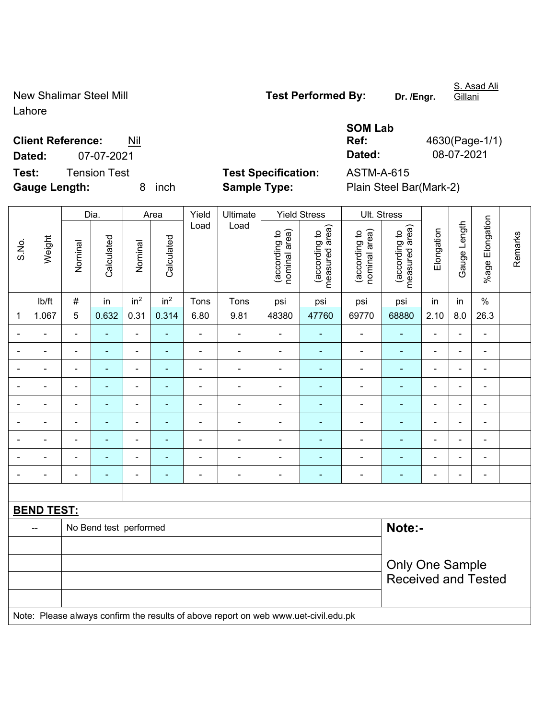Lahore

New Shalimar Steel Mill **Test Performed By:** Dr. /Engr.

S. Asad Ali

**Client Reference:** Nil

**Gauge Length:** 8 inch **Sample Type:** Plain Steel Bar(Mark-2)

**SOM Lab Ref:** 4630(Page-1/1) **Dated:** 07-07-2021 **Dated:** 08-07-2021

|                |                          |                          | Dia.                   |                          | Area            | Yield          | Ultimate                                                                            |                                | <b>Yield Stress</b>             |                                | Ult. Stress                     |                          |                |                          |         |
|----------------|--------------------------|--------------------------|------------------------|--------------------------|-----------------|----------------|-------------------------------------------------------------------------------------|--------------------------------|---------------------------------|--------------------------------|---------------------------------|--------------------------|----------------|--------------------------|---------|
| S.No.          | Weight                   | Nominal                  | Calculated             | Nominal                  | Calculated      | Load           | Load                                                                                | nominal area)<br>(according to | (according to<br>measured area) | nominal area)<br>(according to | (according to<br>measured area) | Elongation               | Gauge Length   | %age Elongation          | Remarks |
|                | lb/ft                    | $\#$                     | in                     | in <sup>2</sup>          | in <sup>2</sup> | Tons           | Tons                                                                                | psi                            | psi                             | psi                            | psi                             | in                       | in             | $\%$                     |         |
| 1              | 1.067                    | 5                        | 0.632                  | 0.31                     | 0.314           | 6.80           | 9.81                                                                                | 48380                          | 47760                           | 69770                          | 68880                           | 2.10                     | 8.0            | 26.3                     |         |
|                | $\overline{a}$           | $\blacksquare$           | ÷,                     | $\blacksquare$           | $\blacksquare$  | $\frac{1}{2}$  | $\blacksquare$                                                                      | $\blacksquare$                 | $\blacksquare$                  | $\blacksquare$                 | $\blacksquare$                  | $\blacksquare$           |                | $\blacksquare$           |         |
|                |                          | ä,                       | ÷,                     | $\blacksquare$           | ÷               | $\blacksquare$ | $\blacksquare$                                                                      | $\overline{\phantom{a}}$       |                                 | ÷,                             | $\blacksquare$                  | L,                       |                | $\blacksquare$           |         |
|                |                          | $\blacksquare$           | ٠                      | $\blacksquare$           |                 | ä,             | $\blacksquare$                                                                      | $\blacksquare$                 |                                 | $\blacksquare$                 | $\sim$                          | $\blacksquare$           |                | $\blacksquare$           |         |
|                |                          | ٠                        | $\blacksquare$         | ÷                        |                 | ä,             | $\blacksquare$                                                                      | $\blacksquare$                 |                                 | ÷                              |                                 | ä,                       |                | ÷                        |         |
| $\blacksquare$ | $\blacksquare$           | $\overline{\phantom{a}}$ | ÷                      | ÷                        | ÷               |                | $\blacksquare$                                                                      | $\overline{\phantom{a}}$       | ÷                               | $\blacksquare$                 | $\blacksquare$                  | $\blacksquare$           | $\blacksquare$ | $\overline{\phantom{a}}$ |         |
| $\blacksquare$ | $\blacksquare$           | $\blacksquare$           | ÷,                     | $\blacksquare$           | $\blacksquare$  | $\blacksquare$ | $\blacksquare$                                                                      | $\overline{\phantom{a}}$       | ۰                               | $\blacksquare$                 | $\blacksquare$                  | $\blacksquare$           | $\blacksquare$ | $\overline{\phantom{a}}$ |         |
| $\blacksquare$ | $\blacksquare$           | $\blacksquare$           | $\blacksquare$         | $\overline{\phantom{a}}$ | $\blacksquare$  | $\blacksquare$ | $\blacksquare$                                                                      | $\blacksquare$                 | ÷                               | $\blacksquare$                 | $\blacksquare$                  | $\overline{\phantom{a}}$ |                | $\blacksquare$           |         |
|                | $\overline{\phantom{0}}$ | $\blacksquare$           | $\frac{1}{2}$          | $\blacksquare$           | ٠               | $\blacksquare$ | $\blacksquare$                                                                      | $\qquad \qquad \blacksquare$   | ÷                               | $\overline{a}$                 | $\blacksquare$                  | $\blacksquare$           |                | $\blacksquare$           |         |
|                |                          | $\blacksquare$           | ٠                      | ÷                        | Ē.              | ä,             | $\blacksquare$                                                                      | $\overline{\phantom{a}}$       | ۰                               | $\blacksquare$                 | $\blacksquare$                  | ä,                       |                | $\blacksquare$           |         |
|                |                          |                          |                        |                          |                 |                |                                                                                     |                                |                                 |                                |                                 |                          |                |                          |         |
|                | <b>BEND TEST:</b>        |                          |                        |                          |                 |                |                                                                                     |                                |                                 |                                |                                 |                          |                |                          |         |
|                | --                       |                          | No Bend test performed |                          |                 |                |                                                                                     |                                |                                 |                                | Note:-                          |                          |                |                          |         |
|                |                          |                          |                        |                          |                 |                |                                                                                     |                                |                                 |                                |                                 |                          |                |                          |         |
|                |                          |                          |                        |                          |                 |                |                                                                                     |                                |                                 |                                | Only One Sample                 |                          |                |                          |         |
|                |                          |                          |                        |                          |                 |                |                                                                                     |                                |                                 |                                | <b>Received and Tested</b>      |                          |                |                          |         |
|                |                          |                          |                        |                          |                 |                |                                                                                     |                                |                                 |                                |                                 |                          |                |                          |         |
|                |                          |                          |                        |                          |                 |                | Note: Please always confirm the results of above report on web www.uet-civil.edu.pk |                                |                                 |                                |                                 |                          |                |                          |         |

**Test:** Tension Test **Test Specification:** ASTM-A-615

Gillani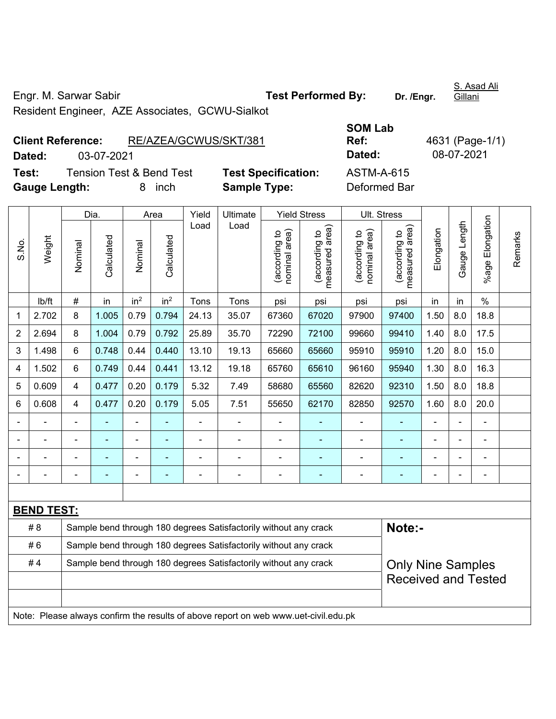Resident Engineer, AZE Associates, GCWU-Sialkot

| <b>Client Reference:</b> |                                     |            | RE/AZEA/GCWUS/SKT/381 |                            | Ref:              |  |  |  |
|--------------------------|-------------------------------------|------------|-----------------------|----------------------------|-------------------|--|--|--|
| Dated:                   | 03-07-2021                          |            |                       |                            | Dated:            |  |  |  |
| Test:                    | <b>Tension Test &amp; Bend Test</b> |            |                       | <b>Test Specification:</b> | <b>ASTM-A-615</b> |  |  |  |
| <b>Gauge Length:</b>     |                                     | inch<br>8. |                       | <b>Sample Type:</b>        | Deformed Bar      |  |  |  |

**SOM Lab Ref:** 4631 (Page-1/1) **Dated:** 03-07-2021 **Dated:** 08-07-2021 **Testion:** ASTM-A-615

|                |                   |                | Dia.       |                 | Area                                                                       | Yield          | Ultimate                                                                            |                                | <b>Yield Stress</b>             |                                | Ult. Stress                     |                |              |                           |         |
|----------------|-------------------|----------------|------------|-----------------|----------------------------------------------------------------------------|----------------|-------------------------------------------------------------------------------------|--------------------------------|---------------------------------|--------------------------------|---------------------------------|----------------|--------------|---------------------------|---------|
| S.No.          | Weight            | Nominal        | Calculated | Nominal         | Calculated                                                                 | Load           | Load                                                                                | (according to<br>nominal area) | (according to<br>measured area) | nominal area)<br>(according to | (according to<br>measured area) | Elongation     | Gauge Length | Elongation<br>$%$ age $ $ | Remarks |
|                | lb/ft             | $\#$           | in         | in <sup>2</sup> | in <sup>2</sup>                                                            | Tons           | Tons                                                                                | psi                            | psi                             | psi                            | psi                             | in             | in           | $\%$                      |         |
| 1              | 2.702             | 8              | 1.005      | 0.79            | 0.794                                                                      | 24.13          | 35.07                                                                               | 67360                          | 67020                           | 97900                          | 97400                           | 1.50           | 8.0          | 18.8                      |         |
| $\overline{2}$ | 2.694             | 8              | 1.004      | 0.79            | 0.792                                                                      | 25.89          | 35.70                                                                               | 72290                          | 72100                           | 99660                          | 99410                           | 1.40           | 8.0          | 17.5                      |         |
| 3              | 1.498             | 6              | 0.748      | 0.44            | 0.440                                                                      | 13.10          | 19.13                                                                               | 65660                          | 65660                           | 95910                          | 95910                           | 1.20           | 8.0          | 15.0                      |         |
| 4              | 1.502             | 6              | 0.749      | 0.44            | 0.441                                                                      | 13.12          | 19.18                                                                               | 65760                          | 65610                           | 96160                          | 95940                           | 1.30           | 8.0          | 16.3                      |         |
| 5              | 0.609             | $\overline{4}$ | 0.477      | 0.20            | 0.179                                                                      | 5.32           | 7.49                                                                                | 58680                          | 65560                           | 82620                          | 92310                           | 1.50           | 8.0          | 18.8                      |         |
| 6              | 0.608             | 4              | 0.477      | 0.20            | 0.179                                                                      | 5.05           | 7.51                                                                                | 55650                          | 62170                           | 82850                          | 92570                           | 1.60           | 8.0          | 20.0                      |         |
| $\blacksquare$ |                   | $\blacksquare$ | ä,         | $\blacksquare$  |                                                                            |                |                                                                                     | L,                             |                                 | $\blacksquare$                 | $\blacksquare$                  | $\blacksquare$ |              | $\blacksquare$            |         |
| $\blacksquare$ |                   | $\blacksquare$ | L,         | $\blacksquare$  | ä,                                                                         | $\blacksquare$ | ä,                                                                                  | ä,                             | ÷                               | ÷,                             | $\blacksquare$                  | ä,             |              | $\blacksquare$            |         |
|                |                   |                |            |                 |                                                                            |                |                                                                                     | $\blacksquare$                 | ä,                              | $\blacksquare$                 | $\blacksquare$                  | $\blacksquare$ |              |                           |         |
|                |                   |                |            |                 |                                                                            |                |                                                                                     |                                |                                 |                                |                                 |                |              | $\blacksquare$            |         |
|                |                   |                |            |                 |                                                                            |                |                                                                                     |                                |                                 |                                |                                 |                |              |                           |         |
|                | <b>BEND TEST:</b> |                |            |                 |                                                                            |                |                                                                                     |                                |                                 |                                |                                 |                |              |                           |         |
|                | #8                |                |            |                 | Note:-<br>Sample bend through 180 degrees Satisfactorily without any crack |                |                                                                                     |                                |                                 |                                |                                 |                |              |                           |         |
|                | #6                |                |            |                 | Sample bend through 180 degrees Satisfactorily without any crack           |                |                                                                                     |                                |                                 |                                |                                 |                |              |                           |         |
|                | #4                |                |            |                 |                                                                            |                | Sample bend through 180 degrees Satisfactorily without any crack                    |                                |                                 |                                | <b>Only Nine Samples</b>        |                |              |                           |         |
|                |                   |                |            |                 |                                                                            |                |                                                                                     |                                |                                 |                                | <b>Received and Tested</b>      |                |              |                           |         |
|                |                   |                |            |                 |                                                                            |                |                                                                                     |                                |                                 |                                |                                 |                |              |                           |         |
|                |                   |                |            |                 |                                                                            |                | Note: Please always confirm the results of above report on web www.uet-civil.edu.pk |                                |                                 |                                |                                 |                |              |                           |         |

S. Asad Ali Gillani

Engr. M. Sarwar Sabir **Test Performed By:** Dr. /Engr.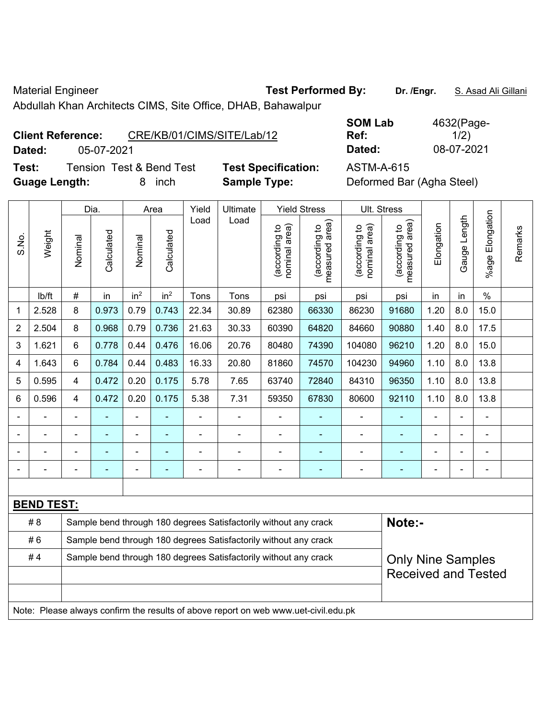Material Engineer **Test Performed By:** Dr. /Engr. **S. Asad Ali Gillani** Ali Gillani

Abdullah Khan Architects CIMS, Site Office, DHAB, Bahawalpur

**Client Reference:** CRE/KB/01/CIMS/SITE/Lab/12

**Test:** Tension Test & Bend Test **Test Specification:** ASTM-A-615 **Guage Length:** 8 inch **Sample Type:** Deformed Bar (Agha Steel)

**SOM Lab Ref:**  4632(Page- $1/2)$ **Dated:** 05-07-2021 **Dated:** 08-07-2021

|                |                   |                         | Dia.       |                 | Area            | Yield          | Ultimate                                                                            |                                | <b>Yield Stress</b>                         |                                | Ult. Stress                     |                |                |                       |         |
|----------------|-------------------|-------------------------|------------|-----------------|-----------------|----------------|-------------------------------------------------------------------------------------|--------------------------------|---------------------------------------------|--------------------------------|---------------------------------|----------------|----------------|-----------------------|---------|
| S.No.          | Weight            | Nominal                 | Calculated | Nominal         | Calculated      | Load           | Load                                                                                | nominal area)<br>(according to | (according to<br>neasured area)<br>measured | (according to<br>nominal area) | (according to<br>measured area) | Elongation     | Gauge Length   | Elongation<br>$%$ age | Remarks |
|                | lb/ft             | $\#$                    | in         | in <sup>2</sup> | in <sup>2</sup> | Tons           | Tons                                                                                | psi                            | psi                                         | psi                            | psi                             | in             | in             | $\%$                  |         |
| 1              | 2.528             | 8                       | 0.973      | 0.79            | 0.743           | 22.34          | 30.89                                                                               | 62380                          | 66330                                       | 86230                          | 91680                           | 1.20           | 8.0            | 15.0                  |         |
| $\overline{2}$ | 2.504             | 8                       | 0.968      | 0.79            | 0.736           | 21.63          | 30.33                                                                               | 60390                          | 64820                                       | 84660                          | 90880                           | 1.40           | 8.0            | 17.5                  |         |
| 3              | 1.621             | 6                       | 0.778      | 0.44            | 0.476           | 16.06          | 20.76                                                                               | 80480                          | 74390                                       | 104080                         | 96210                           | 1.20           | 8.0            | 15.0                  |         |
| 4              | 1.643             | 6                       | 0.784      | 0.44            | 0.483           | 16.33          | 20.80                                                                               | 81860                          | 74570                                       | 104230                         | 94960                           | 1.10           | 8.0            | 13.8                  |         |
| 5              | 0.595             | $\overline{\mathbf{4}}$ | 0.472      | 0.20            | 0.175           | 5.78           | 7.65                                                                                | 63740                          | 72840                                       | 84310                          | 96350                           | 1.10           | 8.0            | 13.8                  |         |
| 6              | 0.596             | $\overline{\mathbf{4}}$ | 0.472      | 0.20            | 0.175           | 5.38           | 7.31                                                                                | 59350                          | 67830                                       | 80600                          | 92110                           | 1.10           | 8.0            | 13.8                  |         |
|                |                   |                         |            | ÷               |                 | ä,             | $\overline{a}$                                                                      |                                |                                             | $\blacksquare$                 |                                 |                |                | ÷                     |         |
|                | $\blacksquare$    |                         | ۰          | ÷               | ۰               | $\blacksquare$ | ä,                                                                                  | $\blacksquare$                 | $\blacksquare$                              | $\blacksquare$                 | $\blacksquare$                  | $\blacksquare$ | $\blacksquare$ | $\blacksquare$        |         |
|                |                   |                         | ۰          | -               |                 | Ē,             | $\overline{a}$                                                                      |                                |                                             | $\blacksquare$                 | $\blacksquare$                  |                | $\blacksquare$ | $\blacksquare$        |         |
|                |                   | $\blacksquare$          | ÷          | ÷,              | ۰               | $\blacksquare$ | ä,                                                                                  | $\blacksquare$                 | $\blacksquare$                              | $\blacksquare$                 | $\blacksquare$                  | $\blacksquare$ | $\blacksquare$ | $\blacksquare$        |         |
|                |                   |                         |            |                 |                 |                |                                                                                     |                                |                                             |                                |                                 |                |                |                       |         |
|                | <b>BEND TEST:</b> |                         |            |                 |                 |                |                                                                                     |                                |                                             |                                |                                 |                |                |                       |         |
|                | # 8               |                         |            |                 |                 |                | Sample bend through 180 degrees Satisfactorily without any crack                    |                                |                                             |                                | Note:-                          |                |                |                       |         |
|                | #6                |                         |            |                 |                 |                | Sample bend through 180 degrees Satisfactorily without any crack                    |                                |                                             |                                |                                 |                |                |                       |         |
|                | #4                |                         |            |                 |                 |                | Sample bend through 180 degrees Satisfactorily without any crack                    |                                |                                             |                                | <b>Only Nine Samples</b>        |                |                |                       |         |
|                |                   |                         |            |                 |                 |                |                                                                                     |                                |                                             |                                | <b>Received and Tested</b>      |                |                |                       |         |
|                |                   |                         |            |                 |                 |                |                                                                                     |                                |                                             |                                |                                 |                |                |                       |         |
|                |                   |                         |            |                 |                 |                | Note: Please always confirm the results of above report on web www.uet-civil.edu.pk |                                |                                             |                                |                                 |                |                |                       |         |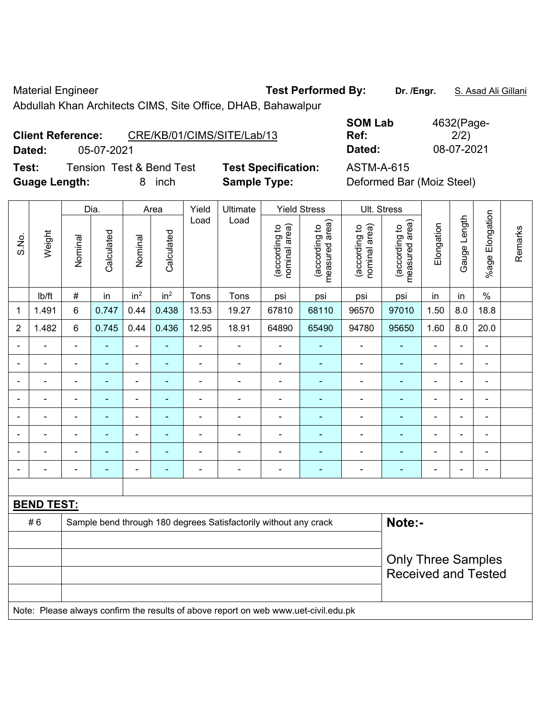Material Engineer **Test Performed By:** Dr. /Engr. **S. Asad Ali Gillani** Ali Gillani

Abdullah Khan Architects CIMS, Site Office, DHAB, Bahawalpur

**Client Reference:** CRE/KB/01/CIMS/SITE/Lab/13

**Dated:** 05-07-2021 **Dated:** 08-07-2021

**Test:** Tension Test & Bend Test **Test Specification:** ASTM-A-615 **Guage Length:** 8 inch **Sample Type:** Deformed Bar (Moiz Steel)

| <b>SOM Lab</b> | 4632(Page- |
|----------------|------------|
| Ref:           | 2/2)       |
| Dated:         | 08-07-2021 |

|                |                   |                           | Dia.<br>Area   |                          | Yield<br>Ultimate<br><b>Yield Stress</b> |                |                                                                                     |                                |                                 | Ult. Stress                    |                                 |                |                |                              |         |
|----------------|-------------------|---------------------------|----------------|--------------------------|------------------------------------------|----------------|-------------------------------------------------------------------------------------|--------------------------------|---------------------------------|--------------------------------|---------------------------------|----------------|----------------|------------------------------|---------|
| S.No.          | Weight            | Nominal                   | Calculated     | Nominal                  | Calculated                               | Load           | Load                                                                                | nominal area)<br>(according to | measured area)<br>(according to | nominal area)<br>(according to | measured area)<br>(according to | Elongation     | Gauge Length   | %age Elongation              | Remarks |
|                | lb/ft             | #                         | in             | in <sup>2</sup>          | in <sup>2</sup>                          | Tons           | Tons                                                                                | psi                            | psi                             | psi                            | psi                             | in             | in             | $\%$                         |         |
| $\mathbf 1$    | 1.491             | 6                         | 0.747          | 0.44                     | 0.438                                    | 13.53          | 19.27                                                                               | 67810                          | 68110                           | 96570                          | 97010                           | 1.50           | 8.0            | 18.8                         |         |
| $\overline{2}$ | 1.482             | 6                         | 0.745          | 0.44                     | 0.436                                    | 12.95          | 18.91                                                                               | 64890                          | 65490                           | 94780                          | 95650                           | 1.60           | 8.0            | 20.0                         |         |
| $\blacksquare$ | ä,                | $\blacksquare$            | $\blacksquare$ | $\blacksquare$           | $\blacksquare$                           | ÷,             | ÷,                                                                                  | $\blacksquare$                 | $\blacksquare$                  | $\overline{\phantom{0}}$       | $\blacksquare$                  | $\blacksquare$ | $\blacksquare$ | $\frac{1}{2}$                |         |
| $\blacksquare$ | $\blacksquare$    | $\blacksquare$            | $\blacksquare$ | $\blacksquare$           | $\blacksquare$                           | $\blacksquare$ | $\blacksquare$                                                                      | $\blacksquare$                 | $\blacksquare$                  | $\qquad \qquad \blacksquare$   | ÷,                              | $\blacksquare$ | $\blacksquare$ | $\qquad \qquad \blacksquare$ |         |
| $\blacksquare$ | $\blacksquare$    | $\blacksquare$            | $\blacksquare$ | $\blacksquare$           | $\blacksquare$                           | $\blacksquare$ | $\blacksquare$                                                                      | $\blacksquare$                 | $\blacksquare$                  | $\blacksquare$                 | $\blacksquare$                  | $\blacksquare$ | $\blacksquare$ | ä,                           |         |
|                | $\blacksquare$    | $\blacksquare$            | $\blacksquare$ | $\overline{\phantom{a}}$ | ٠                                        | $\blacksquare$ | $\blacksquare$                                                                      | $\blacksquare$                 | $\blacksquare$                  | $\blacksquare$                 | ä,                              | $\blacksquare$ | $\blacksquare$ | $\blacksquare$               |         |
|                |                   |                           | $\blacksquare$ | $\blacksquare$           | ٠                                        | L,             | $\blacksquare$                                                                      | $\blacksquare$                 | ۰                               | $\blacksquare$                 | ä,                              |                | L,             | $\blacksquare$               |         |
|                |                   |                           | $\blacksquare$ | ٠                        |                                          |                |                                                                                     | $\blacksquare$                 | ÷                               | ۰                              |                                 |                | $\blacksquare$ |                              |         |
|                |                   |                           |                | ٠                        |                                          |                | $\blacksquare$                                                                      | $\blacksquare$                 | ÷                               | ۰                              | L,                              |                | L,             | $\blacksquare$               |         |
| $\blacksquare$ |                   | -                         | ÷              | $\blacksquare$           | ×,                                       | $\blacksquare$ | $\overline{a}$                                                                      | $\blacksquare$                 | ۰                               | ۰                              | ÷                               | $\blacksquare$ | $\blacksquare$ | $\blacksquare$               |         |
|                |                   |                           |                |                          |                                          |                |                                                                                     |                                |                                 |                                |                                 |                |                |                              |         |
|                | <b>BEND TEST:</b> |                           |                |                          |                                          |                |                                                                                     |                                |                                 |                                |                                 |                |                |                              |         |
|                | #6                |                           |                |                          |                                          |                | Sample bend through 180 degrees Satisfactorily without any crack                    |                                |                                 |                                | Note:-                          |                |                |                              |         |
|                |                   |                           |                |                          |                                          |                |                                                                                     |                                |                                 |                                |                                 |                |                |                              |         |
|                |                   | <b>Only Three Samples</b> |                |                          |                                          |                |                                                                                     |                                |                                 |                                |                                 |                |                |                              |         |
|                |                   |                           |                |                          |                                          |                |                                                                                     |                                |                                 |                                | <b>Received and Tested</b>      |                |                |                              |         |
|                |                   |                           |                |                          |                                          |                |                                                                                     |                                |                                 |                                |                                 |                |                |                              |         |
|                |                   |                           |                |                          |                                          |                | Note: Please always confirm the results of above report on web www.uet-civil.edu.pk |                                |                                 |                                |                                 |                |                |                              |         |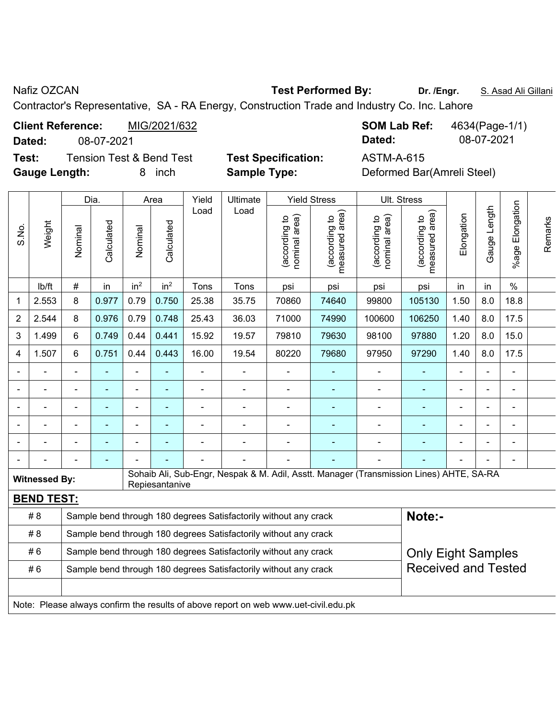## Nafiz OZCAN **Test Performed By:** Dr. /Engr. **S. Asad Ali Gillani** Assembly Care and Ali Gillani

Contractor's Representative, SA - RA Energy, Construction Trade and Industry Co. Inc. Lahore

**Test:** Tension Test & Bend Test **Test Specification:** ASTM-A-615 **Gauge Length:** 8 inch **Sample Type:** Deformed Bar(Amreli Steel)

**Client Reference:** MIG/2021/632 **SOM Lab Ref:** 4634(Page-1/1) **Dated:** 08-07-2021 **Dated:** 08-07-2021

| Gauge Length<br>Load<br>Load<br>(acording to<br>neasured area)<br>measured area)<br>Elongation<br>nominal area)<br>nominal area)<br>(according to<br>(according to<br>(according to<br>Weight<br>Calculated<br>Calculated<br>S.No.<br>Nominal<br>Nominal<br>measured<br>in <sup>2</sup><br>in <sup>2</sup><br>#<br>$\%$<br>in<br>lb/ft<br>Tons<br>Tons<br>in<br>psi<br>psi<br>psi<br>psi<br>in<br>$8.0\,$<br>8<br>0.977<br>0.79<br>0.750<br>25.38<br>35.75<br>70860<br>74640<br>99800<br>105130<br>1.50<br>18.8<br>2.553<br>1<br>$\overline{2}$<br>0.976<br>0.79<br>25.43<br>36.03<br>71000<br>74990<br>100600<br>106250<br>1.40<br>8.0<br>17.5<br>2.544<br>8<br>0.748<br>0.749<br>0.44<br>0.441<br>15.92<br>79810<br>1.20<br>8.0<br>15.0<br>3<br>1.499<br>6<br>19.57<br>79630<br>98100<br>97880<br>0.751<br>0.44<br>0.443<br>8.0<br>17.5<br>1.507<br>6<br>16.00<br>19.54<br>80220<br>79680<br>97950<br>97290<br>1.40<br>4<br>$\blacksquare$<br>÷,<br>$\blacksquare$<br>$\blacksquare$<br>÷,<br>$\blacksquare$<br>÷<br>$\blacksquare$<br>ä,<br>$\blacksquare$<br>$\blacksquare$<br>Ē,<br>÷<br>$\blacksquare$<br>$\blacksquare$<br>$\blacksquare$<br>Sohaib Ali, Sub-Engr, Nespak & M. Adil, Asstt. Manager (Transmission Lines) AHTE, SA-RA<br><b>Witnessed By:</b><br>Repiesantanive<br><b>BEND TEST:</b><br>Note:-<br># 8<br>Sample bend through 180 degrees Satisfactorily without any crack<br># 8<br>Sample bend through 180 degrees Satisfactorily without any crack<br>#6<br>Sample bend through 180 degrees Satisfactorily without any crack<br><b>Only Eight Samples</b><br><b>Received and Tested</b><br>#6<br>Sample bend through 180 degrees Satisfactorily without any crack<br>Note: Please always confirm the results of above report on web www.uet-civil.edu.pk |  |  |  | Dia. |  | Area |       | Ultimate |  | <b>Yield Stress</b> | Ult. Stress |  |  |  |                 |         |
|----------------------------------------------------------------------------------------------------------------------------------------------------------------------------------------------------------------------------------------------------------------------------------------------------------------------------------------------------------------------------------------------------------------------------------------------------------------------------------------------------------------------------------------------------------------------------------------------------------------------------------------------------------------------------------------------------------------------------------------------------------------------------------------------------------------------------------------------------------------------------------------------------------------------------------------------------------------------------------------------------------------------------------------------------------------------------------------------------------------------------------------------------------------------------------------------------------------------------------------------------------------------------------------------------------------------------------------------------------------------------------------------------------------------------------------------------------------------------------------------------------------------------------------------------------------------------------------------------------------------------------------------------------------------------------------------------------------------------------------------------------------------------------|--|--|--|------|--|------|-------|----------|--|---------------------|-------------|--|--|--|-----------------|---------|
|                                                                                                                                                                                                                                                                                                                                                                                                                                                                                                                                                                                                                                                                                                                                                                                                                                                                                                                                                                                                                                                                                                                                                                                                                                                                                                                                                                                                                                                                                                                                                                                                                                                                                                                                                                                  |  |  |  |      |  |      | Yield |          |  |                     |             |  |  |  | %age Elongation | Remarks |
|                                                                                                                                                                                                                                                                                                                                                                                                                                                                                                                                                                                                                                                                                                                                                                                                                                                                                                                                                                                                                                                                                                                                                                                                                                                                                                                                                                                                                                                                                                                                                                                                                                                                                                                                                                                  |  |  |  |      |  |      |       |          |  |                     |             |  |  |  |                 |         |
|                                                                                                                                                                                                                                                                                                                                                                                                                                                                                                                                                                                                                                                                                                                                                                                                                                                                                                                                                                                                                                                                                                                                                                                                                                                                                                                                                                                                                                                                                                                                                                                                                                                                                                                                                                                  |  |  |  |      |  |      |       |          |  |                     |             |  |  |  |                 |         |
|                                                                                                                                                                                                                                                                                                                                                                                                                                                                                                                                                                                                                                                                                                                                                                                                                                                                                                                                                                                                                                                                                                                                                                                                                                                                                                                                                                                                                                                                                                                                                                                                                                                                                                                                                                                  |  |  |  |      |  |      |       |          |  |                     |             |  |  |  |                 |         |
|                                                                                                                                                                                                                                                                                                                                                                                                                                                                                                                                                                                                                                                                                                                                                                                                                                                                                                                                                                                                                                                                                                                                                                                                                                                                                                                                                                                                                                                                                                                                                                                                                                                                                                                                                                                  |  |  |  |      |  |      |       |          |  |                     |             |  |  |  |                 |         |
|                                                                                                                                                                                                                                                                                                                                                                                                                                                                                                                                                                                                                                                                                                                                                                                                                                                                                                                                                                                                                                                                                                                                                                                                                                                                                                                                                                                                                                                                                                                                                                                                                                                                                                                                                                                  |  |  |  |      |  |      |       |          |  |                     |             |  |  |  |                 |         |
|                                                                                                                                                                                                                                                                                                                                                                                                                                                                                                                                                                                                                                                                                                                                                                                                                                                                                                                                                                                                                                                                                                                                                                                                                                                                                                                                                                                                                                                                                                                                                                                                                                                                                                                                                                                  |  |  |  |      |  |      |       |          |  |                     |             |  |  |  |                 |         |
|                                                                                                                                                                                                                                                                                                                                                                                                                                                                                                                                                                                                                                                                                                                                                                                                                                                                                                                                                                                                                                                                                                                                                                                                                                                                                                                                                                                                                                                                                                                                                                                                                                                                                                                                                                                  |  |  |  |      |  |      |       |          |  |                     |             |  |  |  |                 |         |
|                                                                                                                                                                                                                                                                                                                                                                                                                                                                                                                                                                                                                                                                                                                                                                                                                                                                                                                                                                                                                                                                                                                                                                                                                                                                                                                                                                                                                                                                                                                                                                                                                                                                                                                                                                                  |  |  |  |      |  |      |       |          |  |                     |             |  |  |  |                 |         |
|                                                                                                                                                                                                                                                                                                                                                                                                                                                                                                                                                                                                                                                                                                                                                                                                                                                                                                                                                                                                                                                                                                                                                                                                                                                                                                                                                                                                                                                                                                                                                                                                                                                                                                                                                                                  |  |  |  |      |  |      |       |          |  |                     |             |  |  |  |                 |         |
|                                                                                                                                                                                                                                                                                                                                                                                                                                                                                                                                                                                                                                                                                                                                                                                                                                                                                                                                                                                                                                                                                                                                                                                                                                                                                                                                                                                                                                                                                                                                                                                                                                                                                                                                                                                  |  |  |  |      |  |      |       |          |  |                     |             |  |  |  |                 |         |
|                                                                                                                                                                                                                                                                                                                                                                                                                                                                                                                                                                                                                                                                                                                                                                                                                                                                                                                                                                                                                                                                                                                                                                                                                                                                                                                                                                                                                                                                                                                                                                                                                                                                                                                                                                                  |  |  |  |      |  |      |       |          |  |                     |             |  |  |  |                 |         |
|                                                                                                                                                                                                                                                                                                                                                                                                                                                                                                                                                                                                                                                                                                                                                                                                                                                                                                                                                                                                                                                                                                                                                                                                                                                                                                                                                                                                                                                                                                                                                                                                                                                                                                                                                                                  |  |  |  |      |  |      |       |          |  |                     |             |  |  |  |                 |         |
|                                                                                                                                                                                                                                                                                                                                                                                                                                                                                                                                                                                                                                                                                                                                                                                                                                                                                                                                                                                                                                                                                                                                                                                                                                                                                                                                                                                                                                                                                                                                                                                                                                                                                                                                                                                  |  |  |  |      |  |      |       |          |  |                     |             |  |  |  |                 |         |
|                                                                                                                                                                                                                                                                                                                                                                                                                                                                                                                                                                                                                                                                                                                                                                                                                                                                                                                                                                                                                                                                                                                                                                                                                                                                                                                                                                                                                                                                                                                                                                                                                                                                                                                                                                                  |  |  |  |      |  |      |       |          |  |                     |             |  |  |  |                 |         |
|                                                                                                                                                                                                                                                                                                                                                                                                                                                                                                                                                                                                                                                                                                                                                                                                                                                                                                                                                                                                                                                                                                                                                                                                                                                                                                                                                                                                                                                                                                                                                                                                                                                                                                                                                                                  |  |  |  |      |  |      |       |          |  |                     |             |  |  |  |                 |         |
|                                                                                                                                                                                                                                                                                                                                                                                                                                                                                                                                                                                                                                                                                                                                                                                                                                                                                                                                                                                                                                                                                                                                                                                                                                                                                                                                                                                                                                                                                                                                                                                                                                                                                                                                                                                  |  |  |  |      |  |      |       |          |  |                     |             |  |  |  |                 |         |
|                                                                                                                                                                                                                                                                                                                                                                                                                                                                                                                                                                                                                                                                                                                                                                                                                                                                                                                                                                                                                                                                                                                                                                                                                                                                                                                                                                                                                                                                                                                                                                                                                                                                                                                                                                                  |  |  |  |      |  |      |       |          |  |                     |             |  |  |  |                 |         |
|                                                                                                                                                                                                                                                                                                                                                                                                                                                                                                                                                                                                                                                                                                                                                                                                                                                                                                                                                                                                                                                                                                                                                                                                                                                                                                                                                                                                                                                                                                                                                                                                                                                                                                                                                                                  |  |  |  |      |  |      |       |          |  |                     |             |  |  |  |                 |         |
|                                                                                                                                                                                                                                                                                                                                                                                                                                                                                                                                                                                                                                                                                                                                                                                                                                                                                                                                                                                                                                                                                                                                                                                                                                                                                                                                                                                                                                                                                                                                                                                                                                                                                                                                                                                  |  |  |  |      |  |      |       |          |  |                     |             |  |  |  |                 |         |
|                                                                                                                                                                                                                                                                                                                                                                                                                                                                                                                                                                                                                                                                                                                                                                                                                                                                                                                                                                                                                                                                                                                                                                                                                                                                                                                                                                                                                                                                                                                                                                                                                                                                                                                                                                                  |  |  |  |      |  |      |       |          |  |                     |             |  |  |  |                 |         |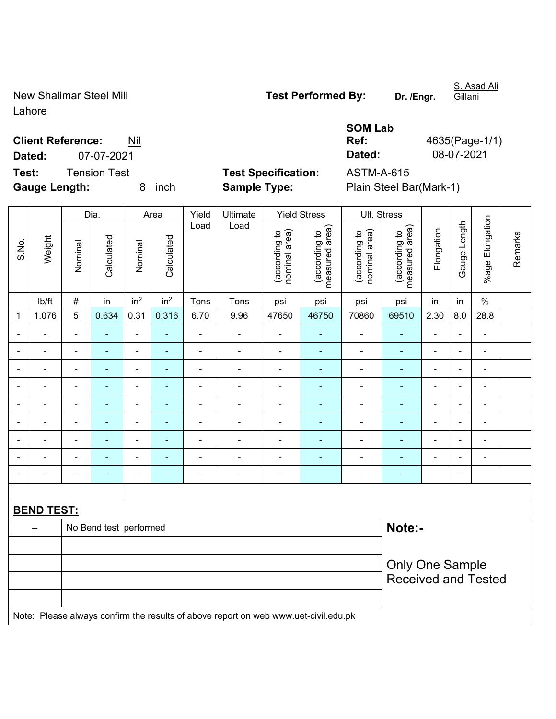Lahore

New Shalimar Steel Mill **Test Performed By:** Dr. /Engr.

S. Asad Ali Gillani

**Gauge Length:** 8 inch **Sample Type:** Plain Steel Bar(Mark-1)

**Test:** Tension Test **Test Specification:** ASTM-A-615

|                          |            | <b>SOM Lab</b> |                |
|--------------------------|------------|----------------|----------------|
| <b>Client Reference:</b> | Nil        | Ref:           | 4635(Page-1/1) |
| Dated:                   | 07-07-2021 | Dated:         | 08-07-2021     |

|                          | Weight            |                          | Dia.                     |                 | Area            |                | Ultimate                                                                            |                                | <b>Yield Stress</b>             |                                | Ult. Stress                     |                        |                |                 |         |  |
|--------------------------|-------------------|--------------------------|--------------------------|-----------------|-----------------|----------------|-------------------------------------------------------------------------------------|--------------------------------|---------------------------------|--------------------------------|---------------------------------|------------------------|----------------|-----------------|---------|--|
| S.No.                    |                   | Nominal                  | Calculated               | Nominal         | Calculated      | Load           | Load                                                                                | (according to<br>nominal area) | (according to<br>measured area) | (according to<br>nominal area) | (according to<br>measured area) | Elongation             | Gauge Length   | %age Elongation | Remarks |  |
|                          | lb/ft             | $\#$                     | in                       | in <sup>2</sup> | in <sup>2</sup> | Tons           | Tons                                                                                | psi                            | psi                             | psi                            | psi                             | in                     | in             | $\%$            |         |  |
| $\mathbf 1$              | 1.076             | 5                        | 0.634                    | 0.31            | 0.316           | 6.70           | 9.96                                                                                | 47650                          | 46750                           | 70860                          | 69510                           | 2.30                   | 8.0            | 28.8            |         |  |
|                          |                   | $\blacksquare$           | ÷                        | ä,              |                 | $\blacksquare$ | ä,                                                                                  | $\overline{\phantom{a}}$       | $\blacksquare$                  | $\blacksquare$                 | ÷,                              |                        |                | $\blacksquare$  |         |  |
| $\overline{\phantom{a}}$ | $\blacksquare$    | $\blacksquare$           | ۰                        | ÷               | ٠               | $\blacksquare$ | $\blacksquare$                                                                      | $\overline{\phantom{a}}$       | $\blacksquare$                  | $\blacksquare$                 | $\blacksquare$                  | $\blacksquare$         | ٠              | $\blacksquare$  |         |  |
| $\blacksquare$           | $\blacksquare$    | $\blacksquare$           | $\blacksquare$           | ÷,              | $\blacksquare$  | $\blacksquare$ | $\blacksquare$                                                                      | $\blacksquare$                 | ٠                               | $\blacksquare$                 | $\blacksquare$                  | ä,                     | ä,             | $\blacksquare$  |         |  |
|                          | $\frac{1}{2}$     | $\overline{\phantom{a}}$ | ÷,                       | $\blacksquare$  |                 | $\blacksquare$ | ÷                                                                                   | $\blacksquare$                 | $\blacksquare$                  | $\blacksquare$                 | $\blacksquare$                  | ä,                     | ä,             | $\blacksquare$  |         |  |
| $\blacksquare$           | $\frac{1}{2}$     | $\blacksquare$           | ÷                        | ÷               | ٠               | $\blacksquare$ | ÷                                                                                   | $\blacksquare$                 | $\blacksquare$                  | $\blacksquare$                 | $\blacksquare$                  | $\blacksquare$         | ٠              | $\blacksquare$  |         |  |
|                          |                   | $\blacksquare$           | ÷                        | $\blacksquare$  |                 |                | $\overline{a}$                                                                      | $\blacksquare$                 | $\blacksquare$                  | $\blacksquare$                 | $\blacksquare$                  |                        |                | $\blacksquare$  |         |  |
|                          |                   | $\blacksquare$           |                          | ÷               |                 |                | ÷                                                                                   | $\blacksquare$                 | $\overline{\phantom{0}}$        |                                |                                 |                        |                | ÷               |         |  |
| ٠                        | -                 | $\blacksquare$           | $\overline{\phantom{0}}$ | $\overline{a}$  | $\blacksquare$  | $\blacksquare$ | $\blacksquare$                                                                      | $\blacksquare$                 | ٠                               | $\overline{\phantom{0}}$       | -                               | $\blacksquare$         | ٠              | $\blacksquare$  |         |  |
| $\blacksquare$           | ä,                | $\blacksquare$           | ۰                        | ÷,              | $\blacksquare$  | $\blacksquare$ | $\blacksquare$                                                                      | $\overline{\phantom{a}}$       | $\blacksquare$                  | $\blacksquare$                 | $\blacksquare$                  | $\blacksquare$         | $\blacksquare$ | $\blacksquare$  |         |  |
|                          |                   |                          |                          |                 |                 |                |                                                                                     |                                |                                 |                                |                                 |                        |                |                 |         |  |
|                          | <b>BEND TEST:</b> |                          |                          |                 |                 |                |                                                                                     |                                |                                 |                                |                                 |                        |                |                 |         |  |
|                          | --                |                          | No Bend test performed   |                 |                 |                |                                                                                     |                                |                                 |                                | Note:-                          |                        |                |                 |         |  |
|                          |                   |                          |                          |                 |                 |                |                                                                                     |                                |                                 |                                |                                 |                        |                |                 |         |  |
|                          |                   |                          |                          |                 |                 |                |                                                                                     |                                |                                 |                                |                                 | <b>Only One Sample</b> |                |                 |         |  |
|                          |                   |                          |                          |                 |                 |                |                                                                                     |                                |                                 |                                | <b>Received and Tested</b>      |                        |                |                 |         |  |
|                          |                   |                          |                          |                 |                 |                | Note: Please always confirm the results of above report on web www.uet-civil.edu.pk |                                |                                 |                                |                                 |                        |                |                 |         |  |